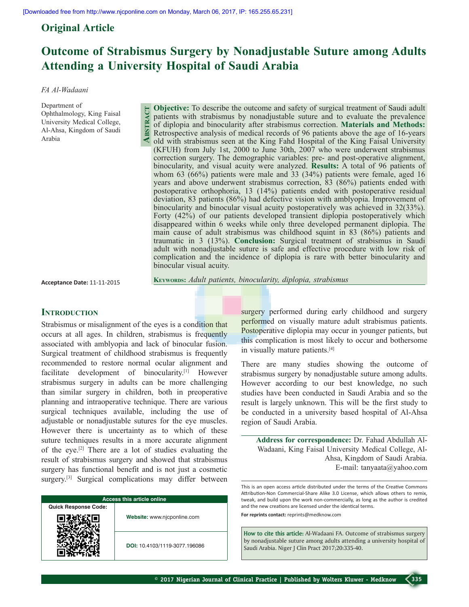**Abstract**

# **Original Article**

# **Outcome of Strabismus Surgery by Nonadjustable Suture among Adults Attending a University Hospital of Saudi Arabia**

#### *FA Al-Wadaani*

Department of Ophthalmology, King Faisal University Medical College, Al-Ahsa, Kingdom of Saudi Arabia

**Objective:** To describe the outcome and safety of surgical treatment of Saudi adult patients with strabismus by nonadjustable suture and to evaluate the prevalence of diplopia and binocularity after strabismus correction. **Materials and Methods:** Retrospective analysis of medical records of 96 patients above the age of 16-years old with strabismus seen at the King Fahd Hospital of the King Faisal University (KFUH) from July 1st, 2000 to June 30th, 2007 who were underwent strabismus correction surgery. The demographic variables: pre- and post-operative alignment, binocularity, and visual acuity were analyzed. **Results:** A total of 96 patients of whom 63 (66%) patients were male and 33 (34%) patients were female, aged 16 years and above underwent strabismus correction, 83 (86%) patients ended with postoperative orthophoria, 13 (14%) patients ended with postoperative residual deviation, 83 patients (86%) had defective vision with amblyopia. Improvement of binocularity and binocular visual acuity postoperatively was achieved in 32(33%). Forty (42%) of our patients developed transient diplopia postoperatively which disappeared within 6 weeks while only three developed permanent diplopia. The main cause of adult strabismus was childhood squint in 83 (86%) patients and traumatic in 3 (13%). **Conclusion:** Surgical treatment of strabismus in Saudi adult with nonadjustable suture is safe and effective procedure with low risk of complication and the incidence of diplopia is rare with better binocularity and binocular visual acuity.

**Acceptance Date:** 11-11-2015

**Keywords:** *Adult patients, binocularity, diplopia, strabismus* 

## **INTRODUCTION**

Strabismus or misalignment of the eyes is a condition that occurs at all ages. In children, strabismus is frequently associated with amblyopia and lack of binocular fusion. Surgical treatment of childhood strabismus is frequently recommended to restore normal ocular alignment and facilitate development of binocularity.[1] However strabismus surgery in adults can be more challenging than similar surgery in children, both in preoperative planning and intraoperative technique. There are various surgical techniques available, including the use of adjustable or nonadjustable sutures for the eye muscles. However there is uncertainty as to which of these suture techniques results in a more accurate alignment of the eye.[2] There are a lot of studies evaluating the result of strabismus surgery and showed that strabismus surgery has functional benefit and is not just a cosmetic surgery.<sup>[3]</sup> Surgical complications may differ between

| <b>Access this article online</b> |                               |  |  |  |
|-----------------------------------|-------------------------------|--|--|--|
| <b>Quick Response Code:</b>       |                               |  |  |  |
|                                   | Website: www.njcponline.com   |  |  |  |
|                                   | DOI: 10.4103/1119-3077.196086 |  |  |  |

surgery performed during early childhood and surgery performed on visually mature adult strabismus patients. Postoperative diplopia may occur in younger patients, but this complication is most likely to occur and bothersome in visually mature patients.[4]

There are many studies showing the outcome of strabismus surgery by nonadjustable suture among adults. However according to our best knowledge, no such studies have been conducted in Saudi Arabia and so the result is largely unknown. This will be the first study to be conducted in a university based hospital of Al-Ahsa region of Saudi Arabia.

**Address for correspondence:** Dr. Fahad Abdullah Al-Wadaani, King Faisal University Medical College, Al-Ahsa, Kingdom of Saudi Arabia. E-mail: tanyaata@yahoo.com

This is an open access article distributed under the terms of the Creative Commons Attribution-Non Commercial-Share Alike 3.0 License, which allows others to remix, tweak, and build upon the work non-commercially, as long as the author is credited and the new creations are licensed under the identical terms. **For reprints contact:** reprints@medknow.com

**How to cite this article:** Al-Wadaani FA. Outcome of strabismus surgery by nonadjustable suture among adults attending a university hospital of Saudi Arabia. Niger J Clin Pract 2017;20:335-40.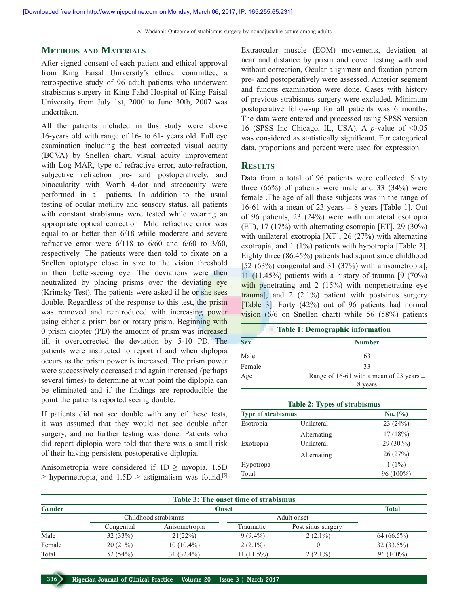## **Methods and Materials**

After signed consent of each patient and ethical approval from King Faisal University's ethical committee, a retrospective study of 96 adult patients who underwent strabismus surgery in King Fahd Hospital of King Faisal University from July 1st, 2000 to June 30th, 2007 was undertaken.

All the patients included in this study were above 16-years old with range of 16- to 61- years old. Full eye examination including the best corrected visual acuity (BCVA) by Snellen chart, visual acuity improvement with Log MAR, type of refractive error, auto-refraction, subjective refraction pre- and postoperatively, and binocularity with Worth 4-dot and streoacuity were performed in all patients. In addition to the usual testing of ocular motility and sensory status, all patients with constant strabismus were tested while wearing an appropriate optical correction. Mild refractive error was equal to or better than 6/18 while moderate and severe refractive error were  $6/118$  to  $6/60$  and  $6/60$  to  $3/60$ , respectively. The patients were then told to fixate on a Snellen optotype close in size to the vision threshold in their better-seeing eye. The deviations were then neutralized by placing prisms over the deviating eye (Krimsky Test). The patients were asked if he or she sees double. Regardless of the response to this test, the prism was removed and reintroduced with increasing power using either a prism bar or rotary prism. Beginning with 0 prism diopter (PD) the amount of prism was increased till it overcorrected the deviation by 5-10 PD. The patients were instructed to report if and when diplopia occurs as the prism power is increased. The prism power were successively decreased and again increased (perhaps several times) to determine at what point the diplopia can be eliminated and if the findings are reproducible the point the patients reported seeing double.

If patients did not see double with any of these tests, it was assumed that they would not see double after surgery, and no further testing was done. Patients who did report diplopia were told that there was a small risk of their having persistent postoperative diplopia.

Anisometropia were considered if  $1D \geq$  myopia, 1.5D  $\geq$  hypermetropia, and 1.5D  $\geq$  astigmatism was found.<sup>[5]</sup> Extraocular muscle (EOM) movements, deviation at near and distance by prism and cover testing with and without correction, Ocular alignment and fixation pattern pre- and postoperatively were assessed. Anterior segment and fundus examination were done. Cases with history of previous strabismus surgery were excluded. Minimum postoperative follow-up for all patients was 6 months. The data were entered and processed using SPSS version 16 (SPSS Inc Chicago, IL, USA). A *p*-value of  $\leq 0.05$ was considered as statistically significant. For categorical data, proportions and percent were used for expression.

## **Results**

Data from a total of 96 patients were collected. Sixty three  $(66\%)$  of patients were male and 33  $(34\%)$  were female .The age of all these subjects was in the range of 16-61 with a mean of 23 years  $\pm$  8 years [Table 1]. Out of 96 patients, 23 (24%) were with unilateral esotropia (ET), 17 (17%) with alternating esotropia [ET], 29 (30%) with unilateral exotropia [XT], 26 (27%) with alternating exotropia, and 1 (1%) patients with hypotropia [Table 2]. Eighty three (86.45%) patients had squint since childhood [52 (63%) congenital and 31 (37%) with anisometropia], 11 (11.45%) patients with a history of trauma  $[9 (70\%)$ with penetrating and 2 (15%) with nonpenetrating eye trauma], and 2 (2.1%) patient with postsinus surgery [Table 3]. Forty (42%) out of 96 patients had normal vision (6/6 on Snellen chart) while 56 (58%) patients

| <b>Table 1: Demographic information</b> |                                              |  |  |
|-----------------------------------------|----------------------------------------------|--|--|
| <b>Sex</b>                              | <b>Number</b>                                |  |  |
| Male                                    | 63                                           |  |  |
| Female                                  | 33                                           |  |  |
| Age                                     | Range of 16-61 with a mean of 23 years $\pm$ |  |  |
|                                         | 8 years                                      |  |  |

|                           | <b>Table 2: Types of strabismus</b> |           |
|---------------------------|-------------------------------------|-----------|
| <b>Type of strabismus</b> |                                     | No. (%)   |
| Esotropia                 | Unilateral                          | 23(24%)   |
|                           | Alternating                         | 17(18%)   |
| Exotropia                 | Unilateral                          | 29(30.%)  |
|                           | Alternating                         | 26(27%)   |
| Hypotropa                 |                                     | $1(1\%)$  |
| Total                     |                                     | 96 (100%) |

| Table 3: The onset time of strabismus |                       |                      |              |                    |              |  |  |
|---------------------------------------|-----------------------|----------------------|--------------|--------------------|--------------|--|--|
| <b>Gender</b>                         | Total<br><b>Onset</b> |                      |              |                    |              |  |  |
|                                       |                       | Childhood strabismus |              | Adult onset        |              |  |  |
|                                       | Congenital            | Anisometropia        | Traumatic    | Post sinus surgery |              |  |  |
| Male                                  | 32(33%)               | 21(22%)              | $9(9.4\%)$   | $2(2.1\%)$         | $64(66.5\%)$ |  |  |
| Female                                | 20(21%)               | $10(10.4\%)$         | $2(2.1\%)$   |                    | $32(33.5\%)$ |  |  |
| Total                                 | 52 $(54%)$            | $31(32.4\%)$         | $11(11.5\%)$ | $2(2.1\%)$         | $96(100\%)$  |  |  |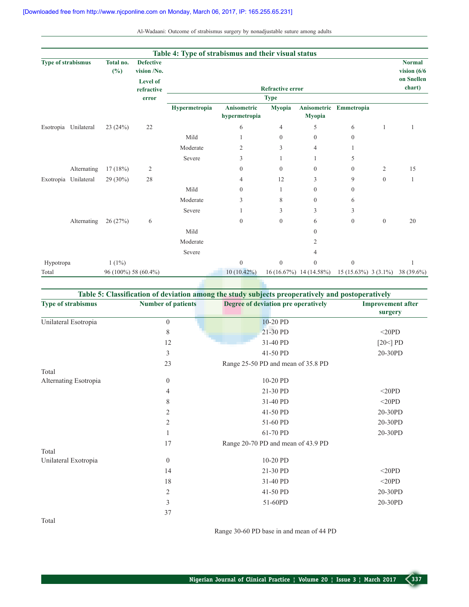| Al-Wadaani: Outcome of strabismus surgery by nonadjustable suture among adults |  |  |  |  |  |
|--------------------------------------------------------------------------------|--|--|--|--|--|
|                                                                                |  |  |  |  |  |

|                           |                      |                     |                                 | Table 4: Type of strabismus and their visual status |                  |                         |                         |                                   |                  |                                 |
|---------------------------|----------------------|---------------------|---------------------------------|-----------------------------------------------------|------------------|-------------------------|-------------------------|-----------------------------------|------------------|---------------------------------|
| <b>Type of strabismus</b> |                      | Total no.<br>$(\%)$ | <b>Defective</b><br>vision /No. |                                                     |                  |                         |                         |                                   |                  | <b>Normal</b><br>vision $(6/6)$ |
|                           |                      |                     | <b>Level of</b>                 |                                                     |                  |                         |                         |                                   |                  | on Snellen                      |
|                           |                      |                     | refractive                      |                                                     |                  | <b>Refractive error</b> |                         |                                   |                  | chart)                          |
|                           |                      |                     | error                           | Hypermetropia                                       | Anisometric      | <b>Type</b><br>Myopia   |                         | Anisometric Emmetropia            |                  |                                 |
|                           |                      |                     |                                 |                                                     | hypermetropia    |                         | <b>Myopia</b>           |                                   |                  |                                 |
|                           | Esotropia Unilateral | 23(24%)             | 22                              |                                                     | 6                | 4                       | 5                       | 6                                 | 1                | 1                               |
|                           |                      |                     |                                 | Mild                                                |                  | $\boldsymbol{0}$        | $\overline{0}$          | $\boldsymbol{0}$                  |                  |                                 |
|                           |                      |                     |                                 | Moderate                                            | $\overline{2}$   | 3                       | $\overline{4}$          |                                   |                  |                                 |
|                           |                      |                     |                                 | Severe                                              | 3                |                         |                         | 5                                 |                  |                                 |
|                           | Alternating          | 17(18%)             | $\overline{c}$                  |                                                     | $\mathbf{0}$     | $\boldsymbol{0}$        | $\overline{0}$          | $\boldsymbol{0}$                  | $\overline{c}$   | 15                              |
|                           | Exotropia Unilateral | $29(30\%)$          | 28                              |                                                     | 4                | 12                      | 3                       | 9                                 | $\theta$         | 1                               |
|                           |                      |                     |                                 | Mild                                                | $\theta$         |                         | $\overline{0}$          | $\boldsymbol{0}$                  |                  |                                 |
|                           |                      |                     |                                 | Moderate                                            | 3                | 8                       | $\overline{0}$          | 6                                 |                  |                                 |
|                           |                      |                     |                                 | Severe                                              |                  | 3                       | 3                       | 3                                 |                  |                                 |
|                           | Alternating          | 26(27%)             | 6                               |                                                     | $\mathbf{0}$     | $\overline{0}$          | 6                       | $\boldsymbol{0}$                  | $\boldsymbol{0}$ | 20                              |
|                           |                      |                     |                                 | Mild                                                |                  |                         | $\Omega$                |                                   |                  |                                 |
|                           |                      |                     |                                 | Moderate                                            |                  |                         | 2                       |                                   |                  |                                 |
|                           |                      |                     |                                 | Severe                                              |                  |                         | 4                       |                                   |                  |                                 |
| Hypotropa                 |                      | $1(1\%)$            |                                 |                                                     | $\boldsymbol{0}$ | $\boldsymbol{0}$        | $\overline{0}$          | $\boldsymbol{0}$                  |                  |                                 |
| Total                     |                      |                     | 96 (100%) 58 (60.4%)            |                                                     | $10(10.42\%)$    |                         | 16 (16.67%) 14 (14.58%) | $15(15.63\%)$ 3 (3.1%) 38 (39.6%) |                  |                                 |

| Table 5: Classification of deviation among the study subjects preoperatively and postoperatively |                           |                                     |                          |  |
|--------------------------------------------------------------------------------------------------|---------------------------|-------------------------------------|--------------------------|--|
| <b>Type of strabismus</b>                                                                        | <b>Number of patients</b> | Degree of deviation pre operatively | <b>Improvement after</b> |  |
|                                                                                                  |                           |                                     | surgery                  |  |
| Unilateral Esotropia                                                                             | $\boldsymbol{0}$          | 10-20 PD                            |                          |  |
|                                                                                                  | 8                         | 21-30 PD                            | <20PD                    |  |
|                                                                                                  | 12                        | 31-40 PD                            | [ $20<$ ] PD             |  |
|                                                                                                  | 3                         | 41-50 PD                            | 20-30PD                  |  |
|                                                                                                  | 23                        | Range 25-50 PD and mean of 35.8 PD  |                          |  |
| Total                                                                                            |                           |                                     |                          |  |
| Alternating Esotropia                                                                            | $\boldsymbol{0}$          | 10-20 PD                            |                          |  |
|                                                                                                  | 4                         | 21-30 PD                            | <20PD                    |  |
|                                                                                                  | 8                         | 31-40 PD                            | $<$ 20PD                 |  |
|                                                                                                  | $\overline{2}$            | 41-50 PD                            | 20-30PD                  |  |
|                                                                                                  | $\sqrt{2}$                | 51-60 PD                            | 20-30PD                  |  |
|                                                                                                  | 1                         | 61-70 PD                            | 20-30PD                  |  |
|                                                                                                  | 17                        | Range 20-70 PD and mean of 43.9 PD  |                          |  |
| Total                                                                                            |                           |                                     |                          |  |
| Unilateral Exotropia                                                                             | $\theta$                  | 10-20 PD                            |                          |  |
|                                                                                                  | 14                        | 21-30 PD                            | $<$ 20PD                 |  |
|                                                                                                  | 18                        | 31-40 PD                            | $<$ 20PD                 |  |
|                                                                                                  | $\overline{2}$            | 41-50 PD                            | 20-30PD                  |  |
|                                                                                                  | $\mathfrak{Z}$            | 51-60PD                             | 20-30PD                  |  |
|                                                                                                  | 37                        |                                     |                          |  |
| Total                                                                                            |                           |                                     |                          |  |

Range 30-60 PD base in and mean of 44 PD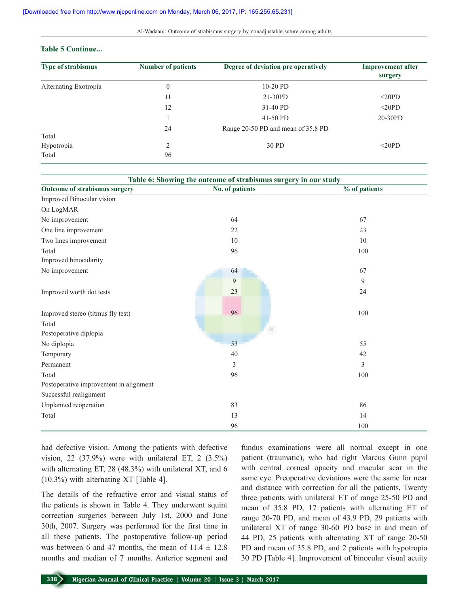#### Al-Wadaani: Outcome of strabismus surgery by nonadjustable suture among adults

## **Table 5 Continue...**

| <b>Type of strabismus</b> | <b>Number of patients</b> | Degree of deviation pre operatively | <b>Improvement after</b><br>surgery |
|---------------------------|---------------------------|-------------------------------------|-------------------------------------|
| Alternating Exotropia     | $\theta$                  | $10-20$ PD                          |                                     |
|                           | 11                        | $21-30PD$                           | $\leq$ 20PD                         |
|                           | 12                        | 31-40 PD                            | $\leq$ 20PD                         |
|                           |                           | 41-50 PD                            | 20-30PD                             |
| Total                     | 24                        | Range 20-50 PD and mean of 35.8 PD  |                                     |
| Hypotropia<br>Total       | 2<br>96                   | 30 PD                               | $20PD$                              |

| Table 6: Showing the outcome of strabismus surgery in our study |                 |               |  |  |
|-----------------------------------------------------------------|-----------------|---------------|--|--|
| Outcome of strabismus surgery                                   | No. of patients | % of patients |  |  |
| Improved Binocular vision                                       |                 |               |  |  |
| On LogMAR                                                       |                 |               |  |  |
| No improvement                                                  | 64              | 67            |  |  |
| One line improvement                                            | 22              | 23            |  |  |
| Two lines improvement                                           | 10              | 10            |  |  |
| Total                                                           | 96              | 100           |  |  |
| Improved binocularity                                           |                 |               |  |  |
| No improvement                                                  | 64              | 67            |  |  |
|                                                                 | 9               | 9             |  |  |
| Improved worth dot tests                                        | 23              | 24            |  |  |
|                                                                 |                 |               |  |  |
| Improved stereo (titmus fly test)                               | 96              | 100           |  |  |
| Total                                                           |                 |               |  |  |
| Postoperative diplopia                                          |                 |               |  |  |
| No diplopia                                                     | 53              | 55            |  |  |
| Temporary                                                       | 40              | 42            |  |  |
| Permanent                                                       | $\overline{3}$  | 3             |  |  |
| Total                                                           | 96              | 100           |  |  |
| Postoperative improvement in alignment                          |                 |               |  |  |
| Successful realignment                                          |                 |               |  |  |
| Unplanned reoperation                                           | 83              | 86            |  |  |
| Total                                                           | 13              | 14            |  |  |
|                                                                 | 96              | 100           |  |  |

had defective vision. Among the patients with defective vision, 22 (37.9%) were with unilateral ET, 2 (3.5%) with alternating ET, 28 (48.3%) with unilateral XT, and 6 (10.3%) with alternating XT [Table 4].

The details of the refractive error and visual status of the patients is shown in Table 4. They underwent squint correction surgeries between July 1st, 2000 and June 30th, 2007. Surgery was performed for the first time in all these patients. The postoperative follow-up period was between 6 and 47 months, the mean of  $11.4 \pm 12.8$ months and median of 7 months. Anterior segment and

fundus examinations were all normal except in one patient (traumatic), who had right Marcus Gunn pupil with central corneal opacity and macular scar in the same eye. Preoperative deviations were the same for near and distance with correction for all the patients, Twenty three patients with unilateral ET of range 25-50 PD and mean of 35.8 PD, 17 patients with alternating ET of range 20-70 PD, and mean of 43.9 PD, 29 patients with unilateral XT of range 30-60 PD base in and mean of 44 PD, 25 patients with alternating XT of range 20-50 PD and mean of 35.8 PD, and 2 patients with hypotropia 30 PD [Table 4]. Improvement of binocular visual acuity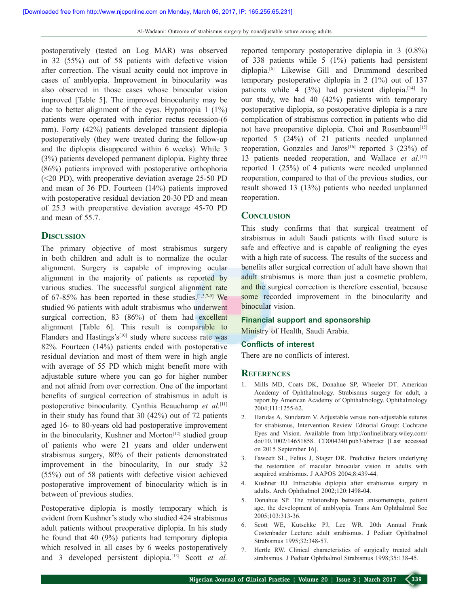postoperatively (tested on Log MAR) was observed in 32 (55%) out of 58 patients with defective vision after correction. The visual acuity could not improve in cases of amblyopia. Improvement in binocularity was also observed in those cases whose binocular vision improved [Table 5]. The improved binocularity may be due to better alignment of the eyes. Hypotropia 1 (1%) patients were operated with inferior rectus recession-(6 mm). Forty (42%) patients developed transient diplopia postoperatively (they were treated during the follow-up and the diplopia disappeared within 6 weeks). While 3 (3%) patients developed permanent diplopia. Eighty three (86%) patients improved with postoperative orthophoria (<20 PD), with preoperative deviation average 25-50 PD and mean of 36 PD. Fourteen (14%) patients improved with postoperative residual deviation 20-30 PD and mean of 25.3 with preoperative deviation average 45-70 PD and mean of 55.7.

## **Discussion**

The primary objective of most strabismus surgery in both children and adult is to normalize the ocular alignment. Surgery is capable of improving ocular alignment in the majority of patients as reported by various studies. The successful surgical alignment rate of 67-85% has been reported in these studies.<sup>[1,3,7-9]</sup> We studied 96 patients with adult strabismus who underwent surgical correction, 83 (86%) of them had excellent alignment [Table 6]. This result is comparable to Flanders and Hastings's<sup>[10]</sup> study where success rate was 82%. Fourteen (14%) patients ended with postoperative residual deviation and most of them were in high angle with average of 55 PD which might benefit more with adjustable suture where you can go for higher number and not afraid from over correction. One of the important benefits of surgical correction of strabismus in adult is postoperative binocularity. Cynthia Beauchamp *et al.*[11] in their study has found that 30 (42%) out of 72 patients aged 16- to 80-years old had postoperative improvement in the binocularity, Kushner and Morton $[12]$  studied group of patients who were 21 years and older underwent strabismus surgery, 80% of their patients demonstrated improvement in the binocularity, In our study 32 (55%) out of 58 patients with defective vision achieved postoperative improvement of binocularity which is in between of previous studies.

Postoperative diplopia is mostly temporary which is evident from Kushner's study who studied 424 strabismus adult patients without preoperative diplopia. In his study he found that 40 (9%) patients had temporary diplopia which resolved in all cases by 6 weeks postoperatively and 3 developed persistent diplopia.[13] Scott *et al.* reported temporary postoperative diplopia in 3 (0.8%) of 338 patients while 5 (1%) patients had persistent diplopia.[6] Likewise Gill and Drummond described temporary postoperative diplopia in 2 (1%) out of 137 patients while  $4$  (3%) had persistent diplopia.<sup>[14]</sup> In our study, we had 40 (42%) patients with temporary postoperative diplopia, so postoperative diplopia is a rare complication of strabismus correction in patients who did not have preoperative diplopia. Choi and Rosenbaum<sup>[15]</sup> reported 5 (24%) of 21 patients needed unplanned reoperation, Gonzales and Jaros<sup>[16]</sup> reported 3 (23%) of 13 patients needed reoperation, and Wallace *et al.*[17] reported 1 (25%) of 4 patients were needed unplanned reoperation, compared to that of the previous studies, our result showed 13 (13%) patients who needed unplanned reoperation.

### **Conclusion**

This study confirms that that surgical treatment of strabismus in adult Saudi patients with fixed suture is safe and effective and is capable of realigning the eyes with a high rate of success. The results of the success and benefits after surgical correction of adult have shown that adult strabismus is more than just a cosmetic problem, and the surgical correction is therefore essential, because some recorded improvement in the binocularity and binocular vision.

#### **Financial support and sponsorship**

Ministry of Health, Saudi Arabia.

#### **Conflicts of interest**

There are no conflicts of interest.

#### **References**

- 1. Mills MD, Coats DK, Donahue SP, Wheeler DT. American Academy of Ophthalmology. Strabismus surgery for adult, a report by American Academy of Ophthalmology. Ophthalmology 2004;111:1255-62.
- 2. Haridas A, Sundaram V. Adjustable versus non-adjustable sutures for strabismus, Intervention Review Editorial Group: Cochrane Eyes and Vision. Available from http://onlinelibrary.wiley.com/ doi/10.1002/14651858. CD004240.pub3/abstract [Last accessed on 2015 September 16].
- 3. Fawcett SL, Felius J, Stager DR. Predictive factors underlying the restoration of macular binocular vision in adults with acquired strabismus. J AAPOS 2004;8:439-44.
- 4. Kushner BJ. Intractable diplopia after strabismus surgery in adults. Arch Ophthalmol 2002;120:1498-04.
- 5. Donahue SP. The relationship between anisometropia, patient age, the development of amblyopia. Trans Am Ophthalmol Soc 2005;103:313-36.
- 6. Scott WE, Kutschke PJ, Lee WR. 20th Annual Frank Costenbader Lecture: adult strabismus. J Pediatr Ophthalmol Strabismus 1995;32:348-57.
- 7. Hertle RW. Clinical characteristics of surgically treated adult strabismus. J Pediatr Ophthalmol Strabismus 1998;35:138-45.